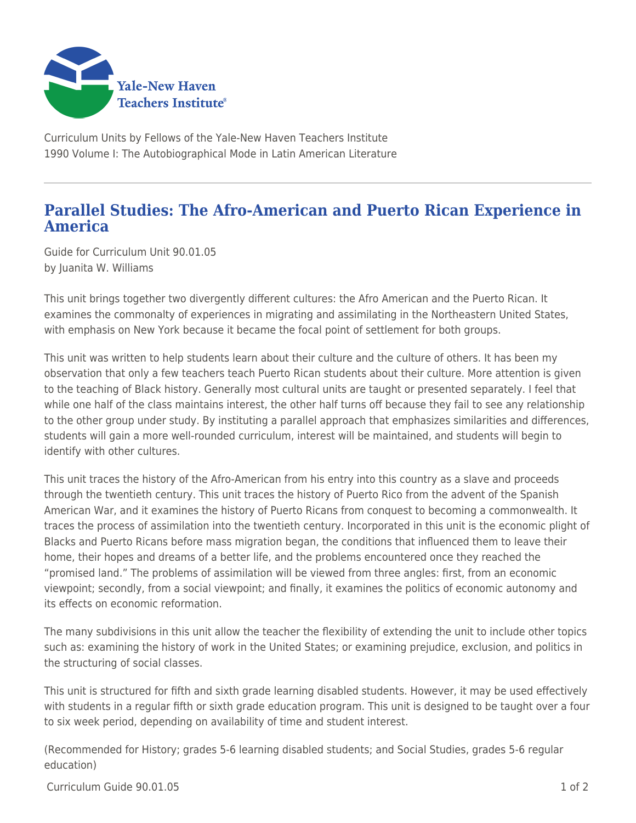

Curriculum Units by Fellows of the Yale-New Haven Teachers Institute 1990 Volume I: The Autobiographical Mode in Latin American Literature

## **Parallel Studies: The Afro-American and Puerto Rican Experience in America**

Guide for Curriculum Unit 90.01.05 by Juanita W. Williams

This unit brings together two divergently different cultures: the Afro American and the Puerto Rican. It examines the commonalty of experiences in migrating and assimilating in the Northeastern United States, with emphasis on New York because it became the focal point of settlement for both groups.

This unit was written to help students learn about their culture and the culture of others. It has been my observation that only a few teachers teach Puerto Rican students about their culture. More attention is given to the teaching of Black history. Generally most cultural units are taught or presented separately. I feel that while one half of the class maintains interest, the other half turns off because they fail to see any relationship to the other group under study. By instituting a parallel approach that emphasizes similarities and differences, students will gain a more well-rounded curriculum, interest will be maintained, and students will begin to identify with other cultures.

This unit traces the history of the Afro-American from his entry into this country as a slave and proceeds through the twentieth century. This unit traces the history of Puerto Rico from the advent of the Spanish American War, and it examines the history of Puerto Ricans from conquest to becoming a commonwealth. It traces the process of assimilation into the twentieth century. Incorporated in this unit is the economic plight of Blacks and Puerto Ricans before mass migration began, the conditions that influenced them to leave their home, their hopes and dreams of a better life, and the problems encountered once they reached the "promised land." The problems of assimilation will be viewed from three angles: first, from an economic viewpoint; secondly, from a social viewpoint; and finally, it examines the politics of economic autonomy and its effects on economic reformation.

The many subdivisions in this unit allow the teacher the flexibility of extending the unit to include other topics such as: examining the history of work in the United States; or examining prejudice, exclusion, and politics in the structuring of social classes.

This unit is structured for fifth and sixth grade learning disabled students. However, it may be used effectively with students in a regular fifth or sixth grade education program. This unit is designed to be taught over a four to six week period, depending on availability of time and student interest.

(Recommended for History; grades 5-6 learning disabled students; and Social Studies, grades 5-6 regular education)